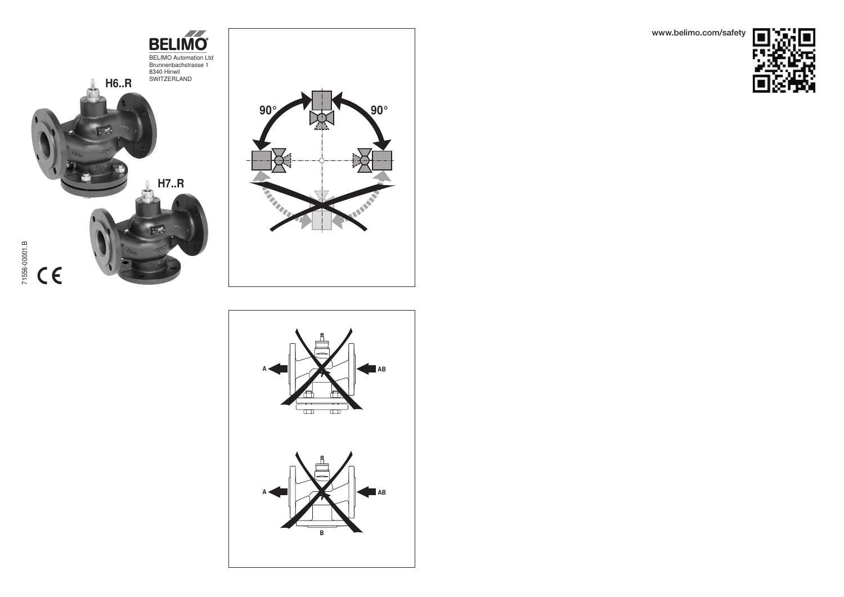